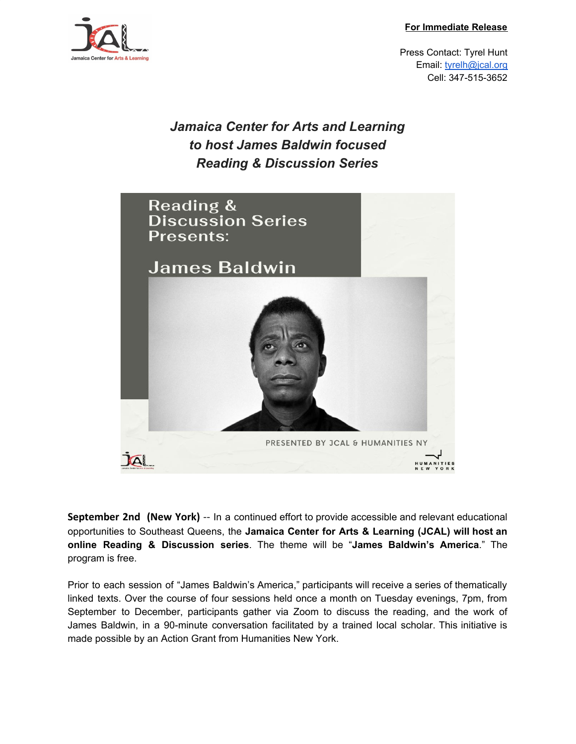**For Immediate Release**



Press Contact: Tyrel Hunt Email: [tyrelh@jcal.org](mailto:tyrelh@jcal.org) Cell: 347-515-3652

## *Jamaica Center for Arts and Learning to host James Baldwin focused Reading & Discussion Series*



**September 2nd (New York)** -- In a continued effort to provide accessible and relevant educational opportunities to Southeast Queens, the **Jamaica Center for Arts & Learning (JCAL) will host an online Reading & Discussion series**. The theme will be "**James Baldwin's America**." The program is free.

Prior to each session of "James Baldwin's America," participants will receive a series of thematically linked texts. Over the course of four sessions held once a month on Tuesday evenings, 7pm, from September to December, participants gather via Zoom to discuss the reading, and the work of James Baldwin, in a 90-minute conversation facilitated by a trained local scholar. This initiative is made possible by an Action Grant from Humanities New York.